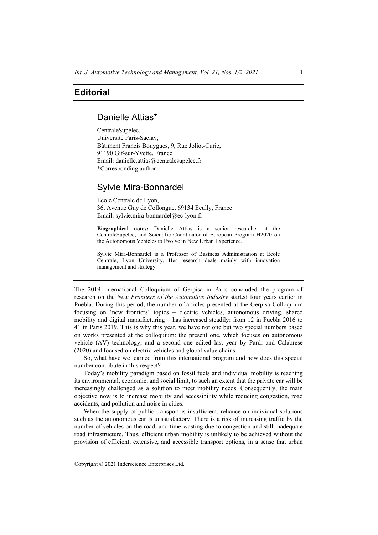# **Editorial**

### Danielle Attias\*

CentraleSupelec, Université Paris-Saclay, Bâtiment Francis Bouygues, 9, Rue Joliot-Curie, 91190 Gif-sur-Yvette, France Email: danielle.attias@centralesupelec.fr \*Corresponding author

## Sylvie Mira-Bonnardel

Ecole Centrale de Lyon, 36, Avenue Guy de Collongue, 69134 Ecully, France Email: sylvie.mira-bonnardel@ec-lyon.fr

**Biographical notes:** Danielle Attias is a senior researcher at the CentraleSupelec, and Scientific Coordinator of European Program H2020 on the Autonomous Vehicles to Evolve in New Urban Experience.

Sylvie Mira-Bonnardel is a Professor of Business Administration at Ecole Centrale, Lyon University. Her research deals mainly with innovation management and strategy.

The 2019 International Colloquium of Gerpisa in Paris concluded the program of research on the *New Frontiers of the Automotive Industry* started four years earlier in Puebla. During this period, the number of articles presented at the Gerpisa Colloquium focusing on 'new frontiers' topics – electric vehicles, autonomous driving, shared mobility and digital manufacturing – has increased steadily: from 12 in Puebla 2016 to 41 in Paris 2019. This is why this year, we have not one but two special numbers based on works presented at the colloquium: the present one, which focuses on autonomous vehicle (AV) technology; and a second one edited last year by Pardi and Calabrese (2020) and focused on electric vehicles and global value chains.

So, what have we learned from this international program and how does this special number contribute in this respect?

Today's mobility paradigm based on fossil fuels and individual mobility is reaching its environmental, economic, and social limit, to such an extent that the private car will be increasingly challenged as a solution to meet mobility needs. Consequently, the main objective now is to increase mobility and accessibility while reducing congestion, road accidents, and pollution and noise in cities.

When the supply of public transport is insufficient, reliance on individual solutions such as the autonomous car is unsatisfactory. There is a risk of increasing traffic by the number of vehicles on the road, and time-wasting due to congestion and still inadequate road infrastructure. Thus, efficient urban mobility is unlikely to be achieved without the provision of efficient, extensive, and accessible transport options, in a sense that urban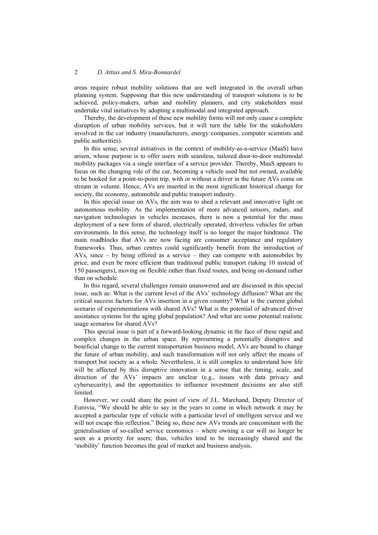areas require robust mobility solutions that are well integrated in the overall urban planning system. Supposing that this new understanding of transport solutions is to be achieved, policy-makers, urban and mobility planners, and city stakeholders must undertake vital initiatives by adopting a multimodal and integrated approach.

Thereby, the development of these new mobility forms will not only cause a complete disruption of urban mobility services, but it will turn the table for the stakeholders involved in the car industry (manufacturers, energy companies, computer scientists and public authorities).

In this sense, several initiatives in the context of mobility-as-a-service (MaaS) have arisen, whose purpose is to offer users with seamless, tailored door-to-door multimodal mobility packages via a single interface of a service provider. Thereby, MaaS appears to focus on the changing role of the car, becoming a vehicle used but not owned, available to be booked for a point-to-point trip, with or without a driver in the future AVs come on stream in volume. Hence, AVs are inserted in the most significant historical change for society, the economy, automobile and public transport industry.

In this special issue on AVs, the aim was to shed a relevant and innovative light on autonomous mobility. As the implementation of more advanced sensors, radars, and navigation technologies in vehicles increases, there is now a potential for the mass deployment of a new form of shared, electrically operated, driverless vehicles for urban environments. In this sense, the technology itself is no longer the major hindrance. The main roadblocks that AVs are now facing are consumer acceptance and regulatory frameworks. Thus, urban centres could significantly benefit from the introduction of AVs, since – by being offered as a service – they can compete with automobiles by price, and even be more efficient than traditional public transport (taking 10 instead of 150 passengers), moving on flexible rather than fixed routes, and being on-demand rather than on schedule.

In this regard, several challenges remain unanswered and are discussed in this special issue, such as: What is the current level of the AVs' technology diffusion? What are the critical success factors for AVs insertion in a given country? What is the current global scenario of experimentations with shared AVs? What is the potential of advanced driver assistance systems for the aging global population? And what are some potential realistic usage scenarios for shared AVs?

This special issue is part of a forward-looking dynamic in the face of these rapid and complex changes in the urban space. By representing a potentially disruptive and beneficial change to the current transportation business model, AVs are bound to change the future of urban mobility, and such transformation will not only affect the means of transport but society as a whole. Nevertheless, it is still complex to understand how life will be affected by this disruptive innovation in a sense that the timing, scale, and direction of the AVs' impacts are unclear (e.g., issues with data privacy and cybersecurity), and the opportunities to influence investment decisions are also still limited.

However, we could share the point of view of J.L. Marchand, Deputy Director of Eurovia, "We should be able to say in the years to come in which network it may be accepted a particular type of vehicle with a particular level of intelligent service and we will not escape this reflection." Being so, these new AVs trends are concomitant with the generalisation of so-called service economics – where owning a car will no longer be seen as a priority for users; thus, vehicles tend to be increasingly shared and the 'mobility' function becomes the goal of market and business analysis.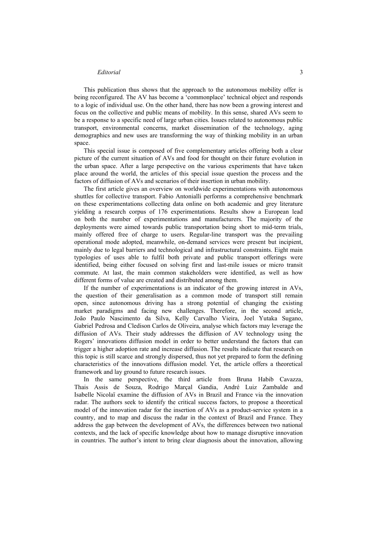### *Editorial* 3

This publication thus shows that the approach to the autonomous mobility offer is being reconfigured. The AV has become a 'commonplace' technical object and responds to a logic of individual use. On the other hand, there has now been a growing interest and focus on the collective and public means of mobility. In this sense, shared AVs seem to be a response to a specific need of large urban cities. Issues related to autonomous public transport, environmental concerns, market dissemination of the technology, aging demographics and new uses are transforming the way of thinking mobility in an urban space.

This special issue is composed of five complementary articles offering both a clear picture of the current situation of AVs and food for thought on their future evolution in the urban space. After a large perspective on the various experiments that have taken place around the world, the articles of this special issue question the process and the factors of diffusion of AVs and scenarios of their insertion in urban mobility.

The first article gives an overview on worldwide experimentations with autonomous shuttles for collective transport. Fabio Antonialli performs a comprehensive benchmark on these experimentations collecting data online on both academic and grey literature yielding a research corpus of 176 experimentations. Results show a European lead on both the number of experimentations and manufacturers. The majority of the deployments were aimed towards public transportation being short to mid-term trials, mainly offered free of charge to users. Regular-line transport was the prevailing operational mode adopted, meanwhile, on-demand services were present but incipient, mainly due to legal barriers and technological and infrastructural constraints. Eight main typologies of uses able to fulfil both private and public transport offerings were identified, being either focused on solving first and last-mile issues or micro transit commute. At last, the main common stakeholders were identified, as well as how different forms of value are created and distributed among them.

If the number of experimentations is an indicator of the growing interest in AVs, the question of their generalisation as a common mode of transport still remain open, since autonomous driving has a strong potential of changing the existing market paradigms and facing new challenges. Therefore, in the second article, João Paulo Nascimento da Silva, Kelly Carvalho Vieira, Joel Yutaka Sugano, Gabriel Pedrosa and Cledison Carlos de Oliveira, analyse which factors may leverage the diffusion of AVs. Their study addresses the diffusion of AV technology using the Rogers' innovations diffusion model in order to better understand the factors that can trigger a higher adoption rate and increase diffusion. The results indicate that research on this topic is still scarce and strongly dispersed, thus not yet prepared to form the defining characteristics of the innovations diffusion model. Yet, the article offers a theoretical framework and lay ground to future research issues.

In the same perspective, the third article from Bruna Habib Cavazza, Thais Assis de Souza, Rodrigo Marçal Gandia, André Luiz Zambalde and Isabelle Nicolaï examine the diffusion of AVs in Brazil and France via the innovation radar. The authors seek to identify the critical success factors, to propose a theoretical model of the innovation radar for the insertion of AVs as a product-service system in a country, and to map and discuss the radar in the context of Brazil and France. They address the gap between the development of AVs, the differences between two national contexts, and the lack of specific knowledge about how to manage disruptive innovation in countries. The author's intent to bring clear diagnosis about the innovation, allowing